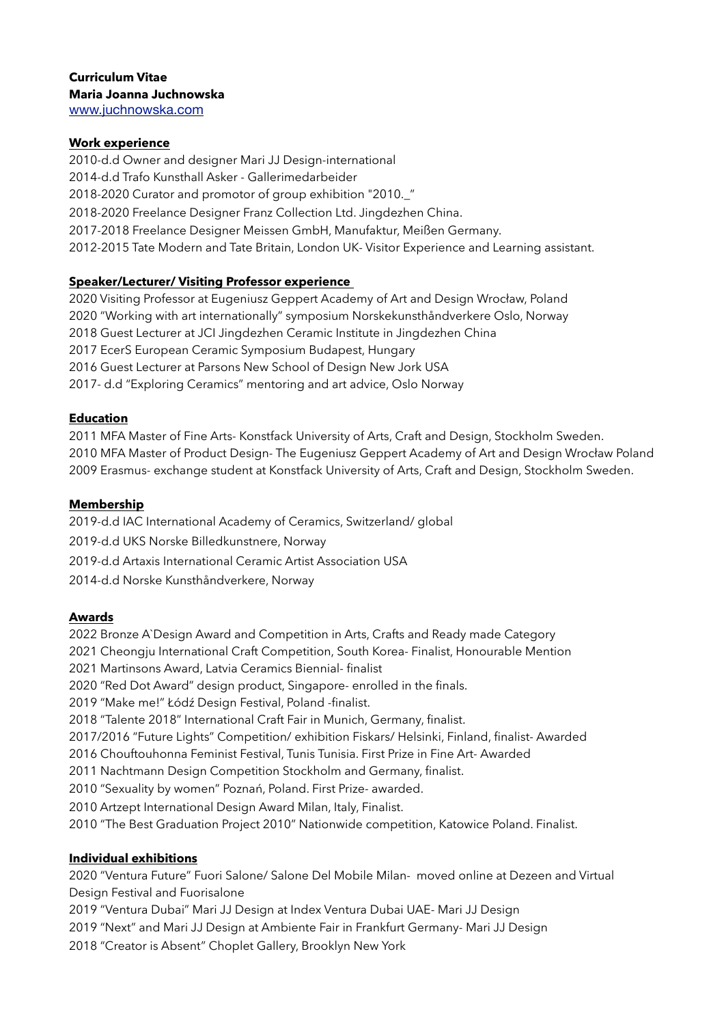### **Work experience**

2010-d.d Owner and designer Mari JJ Design-international 2014-d.d Trafo Kunsthall Asker - Gallerimedarbeider 2018-2020 Curator and promotor of group exhibition "2010.\_" 2018-2020 Freelance Designer Franz Collection Ltd. Jingdezhen China. 2017-2018 Freelance Designer Meissen GmbH, Manufaktur, Meißen Germany. 2012-2015 Tate Modern and Tate Britain, London UK- Visitor Experience and Learning assistant.

# **Speaker/Lecturer/ Visiting Professor experience**

2020 Visiting Professor at Eugeniusz Geppert Academy of Art and Design Wrocław, Poland 2020 "Working with art internationally" symposium Norskekunsthåndverkere Oslo, Norway 2018 Guest Lecturer at JCI Jingdezhen Ceramic Institute in Jingdezhen China 2017 EcerS European Ceramic Symposium Budapest, Hungary 2016 Guest Lecturer at Parsons New School of Design New Jork USA 2017- d.d "Exploring Ceramics" mentoring and art advice, Oslo Norway

## **Education**

2011 MFA Master of Fine Arts- Konstfack University of Arts, Craft and Design, Stockholm Sweden. 2010 MFA Master of Product Design- The Eugeniusz Geppert Academy of Art and Design Wrocław Poland 2009 Erasmus- exchange student at Konstfack University of Arts, Craft and Design, Stockholm Sweden.

### **Membership**

2019-d.d IAC International Academy of Ceramics, Switzerland/ global 2019-d.d UKS Norske Billedkunstnere, Norway 2019-d.d Artaxis International Ceramic Artist Association USA 2014-d.d Norske Kunsthåndverkere, Norway

### **Awards**

2022 Bronze A`Design Award and Competition in Arts, Crafts and Ready made Category 2021 Cheongju International Craft Competition, South Korea- Finalist, Honourable Mention 2021 Martinsons Award, Latvia Ceramics Biennial- finalist 2020 "Red Dot Award" design product, Singapore- enrolled in the finals. 2019 "Make me!" Łódź Design Festival, Poland -finalist. 2018 "Talente 2018" International Craft Fair in Munich, Germany, finalist. 2017/2016 "Future Lights" Competition/ exhibition Fiskars/ Helsinki, Finland, finalist- Awarded 2016 Chouftouhonna Feminist Festival, Tunis Tunisia. First Prize in Fine Art- Awarded 2011 Nachtmann Design Competition Stockholm and Germany, finalist. 2010 "Sexuality by women" Poznań, Poland. First Prize- awarded. 2010 Artzept International Design Award Milan, Italy, Finalist. 2010 "The Best Graduation Project 2010" Nationwide competition, Katowice Poland. Finalist.

### **Individual exhibitions**

2020 "Ventura Future" Fuori Salone/ Salone Del Mobile Milan- moved online at Dezeen and Virtual Design Festival and Fuorisalone

2019 "Ventura Dubai" Mari JJ Design at Index Ventura Dubai UAE- Mari JJ Design

2019 "Next" and Mari JJ Design at Ambiente Fair in Frankfurt Germany- Mari JJ Design

2018 "Creator is Absent" Choplet Gallery, Brooklyn New York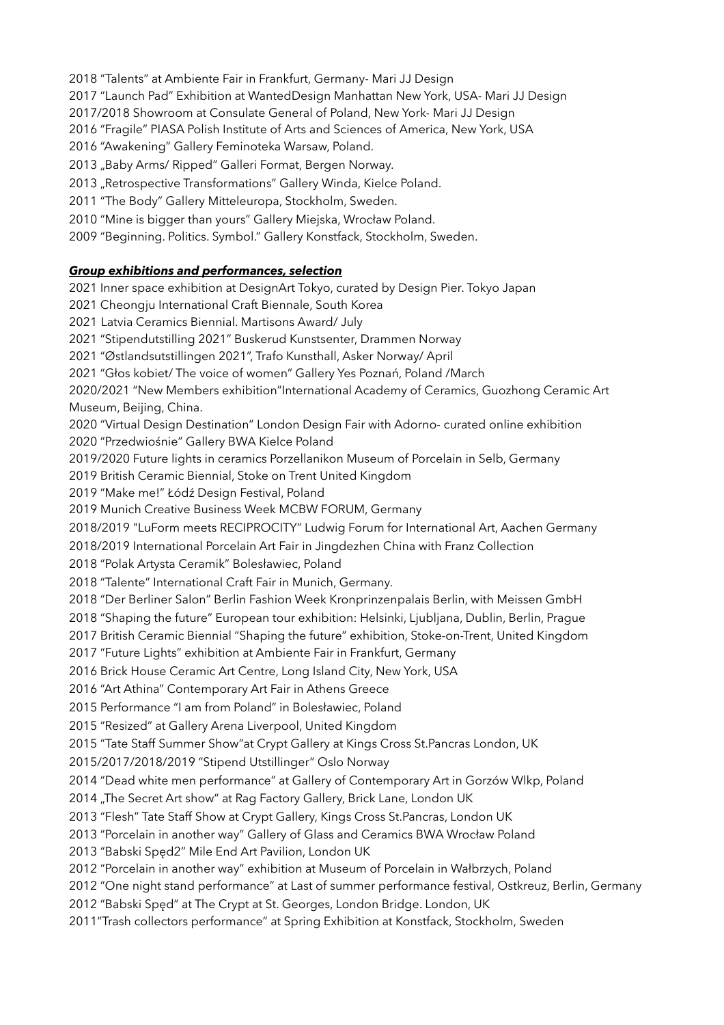2018 "Talents" at Ambiente Fair in Frankfurt, Germany- Mari JJ Design

2017 "Launch Pad" Exhibition at WantedDesign Manhattan New York, USA- Mari JJ Design

2017/2018 Showroom at Consulate General of Poland, New York- Mari JJ Design

2016 "Fragile" PIASA Polish Institute of Arts and Sciences of America, New York, USA

2016 "Awakening" Gallery Feminoteka Warsaw, Poland.

2013 "Baby Arms/ Ripped" Galleri Format, Bergen Norway.

2013 "Retrospective Transformations" Gallery Winda, Kielce Poland.

2011 "The Body" Gallery Mitteleuropa, Stockholm, Sweden.

2010 "Mine is bigger than yours" Gallery Miejska, Wrocław Poland.

2009 "Beginning. Politics. Symbol." Gallery Konstfack, Stockholm, Sweden.

# *Group exhibitions and performances, selection*

2021 Inner space exhibition at DesignArt Tokyo, curated by Design Pier. Tokyo Japan 2021 Cheongju International Craft Biennale, South Korea 2021 Latvia Ceramics Biennial. Martisons Award/ July 2021 "Stipendutstilling 2021" Buskerud Kunstsenter, Drammen Norway 2021 "Østlandsutstillingen 2021", Trafo Kunsthall, Asker Norway/ April 2021 "Głos kobiet/ The voice of women" Gallery Yes Poznań, Poland /March 2020/2021 "New Members exhibition"International Academy of Ceramics, Guozhong Ceramic Art Museum, Beijing, China. 2020 "Virtual Design Destination" London Design Fair with Adorno- curated online exhibition 2020 "Przedwiośnie" Gallery BWA Kielce Poland 2019/2020 Future lights in ceramics Porzellanikon Museum of Porcelain in Selb, Germany 2019 British Ceramic Biennial, Stoke on Trent United Kingdom 2019 "Make me!" Łódź Design Festival, Poland 2019 Munich Creative Business Week MCBW FORUM, Germany 2018/2019 "LuForm meets RECIPROCITY" Ludwig Forum for International Art, Aachen Germany 2018/2019 International Porcelain Art Fair in Jingdezhen China with Franz Collection 2018 "Polak Artysta Ceramik" Bolesławiec, Poland 2018 "Talente" International Craft Fair in Munich, Germany. 2018 "Der Berliner Salon" Berlin Fashion Week Kronprinzenpalais Berlin, with Meissen GmbH 2018 "Shaping the future" European tour exhibition: Helsinki, Ljubljana, Dublin, Berlin, Prague 2017 British Ceramic Biennial "Shaping the future" exhibition, Stoke-on-Trent, United Kingdom 2017 "Future Lights" exhibition at Ambiente Fair in Frankfurt, Germany 2016 Brick House Ceramic Art Centre, Long Island City, New York, USA 2016 "Art Athina" Contemporary Art Fair in Athens Greece 2015 Performance "I am from Poland" in Bolesławiec, Poland 2015 "Resized" at Gallery Arena Liverpool, United Kingdom 2015 "Tate Staff Summer Show"at Crypt Gallery at Kings Cross St.Pancras London, UK 2015/2017/2018/2019 "Stipend Utstillinger" Oslo Norway 2014 "Dead white men performance" at Gallery of Contemporary Art in Gorzów Wlkp, Poland 2014 "The Secret Art show" at Rag Factory Gallery, Brick Lane, London UK 2013 "Flesh" Tate Staff Show at Crypt Gallery, Kings Cross St.Pancras, London UK 2013 "Porcelain in another way" Gallery of Glass and Ceramics BWA Wrocław Poland 2013 "Babski Spęd2" Mile End Art Pavilion, London UK 2012 "Porcelain in another way" exhibition at Museum of Porcelain in Wałbrzych, Poland 2012 "One night stand performance" at Last of summer performance festival, Ostkreuz, Berlin, Germany

2012 "Babski Spęd" at The Crypt at St. Georges, London Bridge. London, UK

2011"Trash collectors performance" at Spring Exhibition at Konstfack, Stockholm, Sweden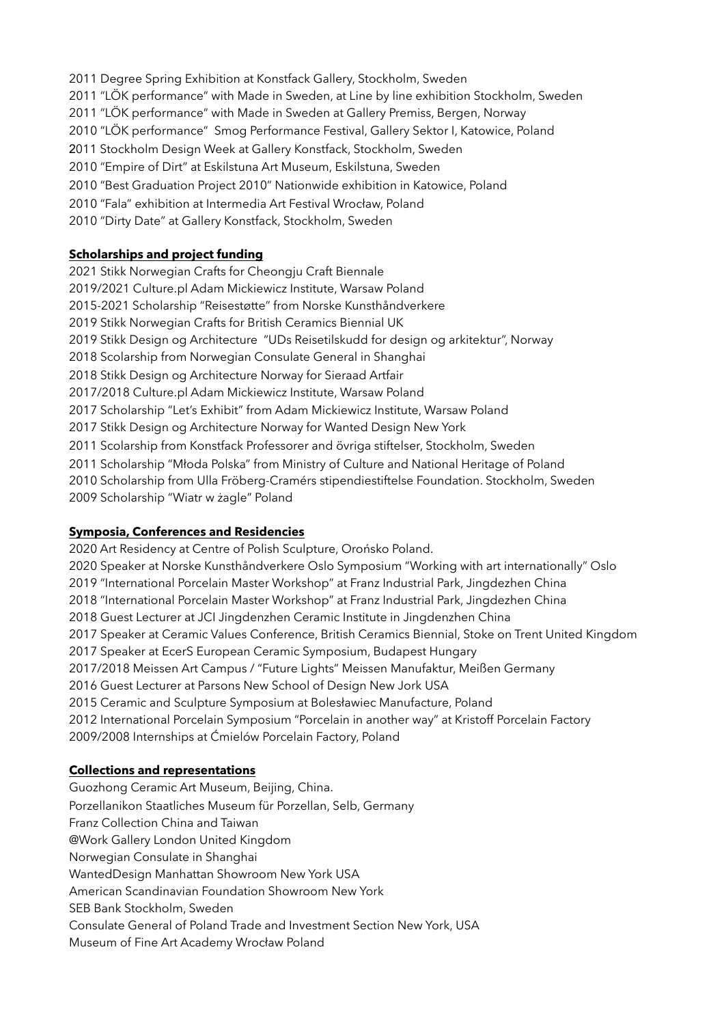2011 Degree Spring Exhibition at Konstfack Gallery, Stockholm, Sweden 2011 "LÖK performance" with Made in Sweden, at Line by line exhibition Stockholm, Sweden 2011 "LÖK performance" with Made in Sweden at Gallery Premiss, Bergen, Norway 2010 "LÖK performance" Smog Performance Festival, Gallery Sektor I, Katowice, Poland 2011 Stockholm Design Week at Gallery Konstfack, Stockholm, Sweden 2010 "Empire of Dirt" at Eskilstuna Art Museum, Eskilstuna, Sweden 2010 "Best Graduation Project 2010" Nationwide exhibition in Katowice, Poland 2010 "Fala" exhibition at Intermedia Art Festival Wrocław, Poland 2010 "Dirty Date" at Gallery Konstfack, Stockholm, Sweden

## **Scholarships and project funding**

2021 Stikk Norwegian Crafts for Cheongju Craft Biennale 2019/2021 Culture.pl Adam Mickiewicz Institute, Warsaw Poland 2015-2021 Scholarship "Reisestøtte" from Norske Kunsthåndverkere 2019 Stikk Norwegian Crafts for British Ceramics Biennial UK 2019 Stikk Design og Architecture "UDs Reisetilskudd for design og arkitektur", Norway 2018 Scolarship from Norwegian Consulate General in Shanghai 2018 Stikk Design og Architecture Norway for Sieraad Artfair 2017/2018 Culture.pl Adam Mickiewicz Institute, Warsaw Poland 2017 Scholarship "Let's Exhibit" from Adam Mickiewicz Institute, Warsaw Poland 2017 Stikk Design og Architecture Norway for Wanted Design New York 2011 Scolarship from Konstfack Professorer and övriga stiftelser, Stockholm, Sweden 2011 Scholarship "Młoda Polska" from Ministry of Culture and National Heritage of Poland 2010 Scholarship from Ulla Fröberg-Cramérs stipendiestiftelse Foundation. Stockholm, Sweden 2009 Scholarship "Wiatr w żagle" Poland

### **Symposia, Conferences and Residencies**

2020 Art Residency at Centre of Polish Sculpture, Orońsko Poland. 2020 Speaker at Norske Kunsthåndverkere Oslo Symposium "Working with art internationally" Oslo 2019 "International Porcelain Master Workshop" at Franz Industrial Park, Jingdezhen China 2018 "International Porcelain Master Workshop" at Franz Industrial Park, Jingdezhen China 2018 Guest Lecturer at JCI Jingdenzhen Ceramic Institute in Jingdenzhen China 2017 Speaker at Ceramic Values Conference, British Ceramics Biennial, Stoke on Trent United Kingdom 2017 Speaker at EcerS European Ceramic Symposium, Budapest Hungary 2017/2018 Meissen Art Campus / "Future Lights" Meissen Manufaktur, Meißen Germany 2016 Guest Lecturer at Parsons New School of Design New Jork USA 2015 Ceramic and Sculpture Symposium at Bolesławiec Manufacture, Poland 2012 International Porcelain Symposium "Porcelain in another way" at Kristoff Porcelain Factory 2009/2008 Internships at Ćmielów Porcelain Factory, Poland

### **Collections and representations**

Guozhong Ceramic Art Museum, Beijing, China. Porzellanikon Staatliches Museum für Porzellan, Selb, Germany Franz Collection China and Taiwan @Work Gallery London United Kingdom Norwegian Consulate in Shanghai WantedDesign Manhattan Showroom New York USA American Scandinavian Foundation Showroom New York SEB Bank Stockholm, Sweden Consulate General of Poland Trade and Investment Section New York, USA Museum of Fine Art Academy Wrocław Poland